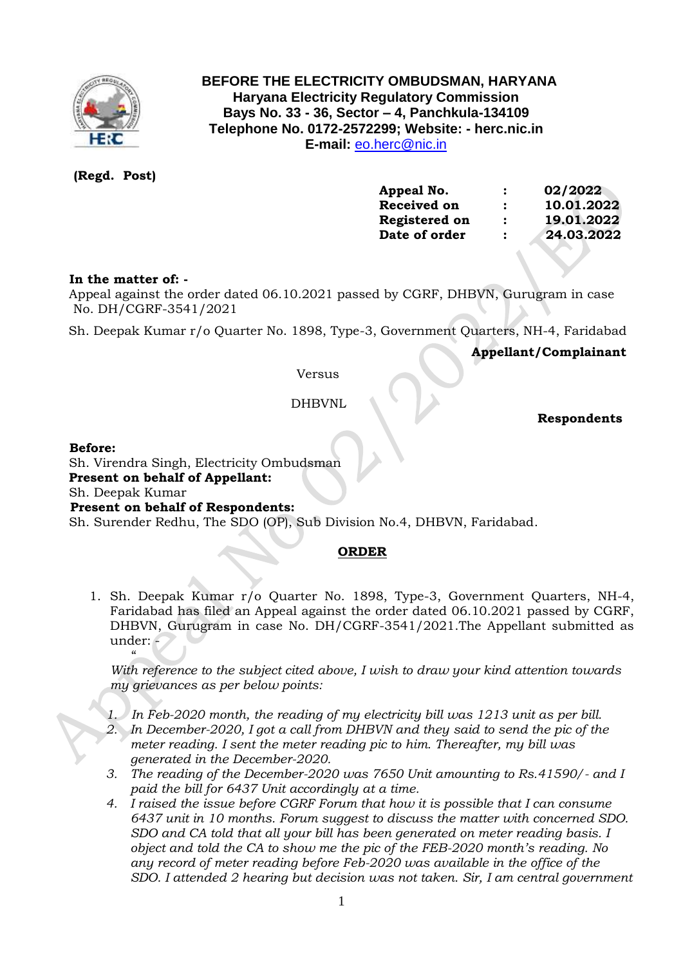

# **BEFORE THE ELECTRICITY OMBUDSMAN, HARYANA Haryana Electricity Regulatory Commission Bays No. 33 - 36, Sector – 4, Panchkula-134109 Telephone No. 0172-2572299; Website: - herc.nic.in E-mail:** [eo.herc@nic.in](mailto:eo.herc@nic.in)

**(Regd. Post)**

| Appeal No.    | $\ddot{\phantom{a}}$ | 02/2022    |
|---------------|----------------------|------------|
| Received on   | $\ddot{\cdot}$       | 10.01.2022 |
| Registered on | $\ddot{\cdot}$       | 19.01.2022 |
| Date of order | $\ddot{\cdot}$       | 24.03.2022 |
|               |                      |            |

## **In the matter of: -**

 Appeal against the order dated 06.10.2021 passed by CGRF, DHBVN, Gurugram in case No. DH/CGRF-3541/2021

Sh. Deepak Kumar r/o Quarter No. 1898, Type-3, Government Quarters, NH-4, Faridabad

 **Appellant/Complainant** 

Versus

DHBVNL

 **Respondents**

### **Before:**

Sh. Virendra Singh, Electricity Ombudsman

**Present on behalf of Appellant:** 

Sh. Deepak Kumar

### **Present on behalf of Respondents:**

Sh. Surender Redhu, The SDO (OP), Sub Division No.4, DHBVN, Faridabad.

### **ORDER**

1. Sh. Deepak Kumar r/o Quarter No. 1898, Type-3, Government Quarters, NH-4, Faridabad has filed an Appeal against the order dated 06.10.2021 passed by CGRF, DHBVN, Gurugram in case No. DH/CGRF-3541/2021.The Appellant submitted as under: -

 $\frac{1}{2}$ *With reference to the subject cited above, I wish to draw your kind attention towards my grievances as per below points:*

- *1. In Feb-2020 month, the reading of my electricity bill was 1213 unit as per bill.* 2. In December-2020, I got a call from DHBVN and they said to send the pic of the *meter reading. I sent the meter reading pic to him. Thereafter, my bill was generated in the December-2020.*
- *3. The reading of the December-2020 was 7650 Unit amounting to Rs.41590/- and I paid the bill for 6437 Unit accordingly at a time.*
- *4. I raised the issue before CGRF Forum that how it is possible that I can consume 6437 unit in 10 months. Forum suggest to discuss the matter with concerned SDO. SDO and CA told that all your bill has been generated on meter reading basis. I object and told the CA to show me the pic of the FEB-2020 month's reading. No any record of meter reading before Feb-2020 was available in the office of the SDO. I attended 2 hearing but decision was not taken. Sir, I am central government*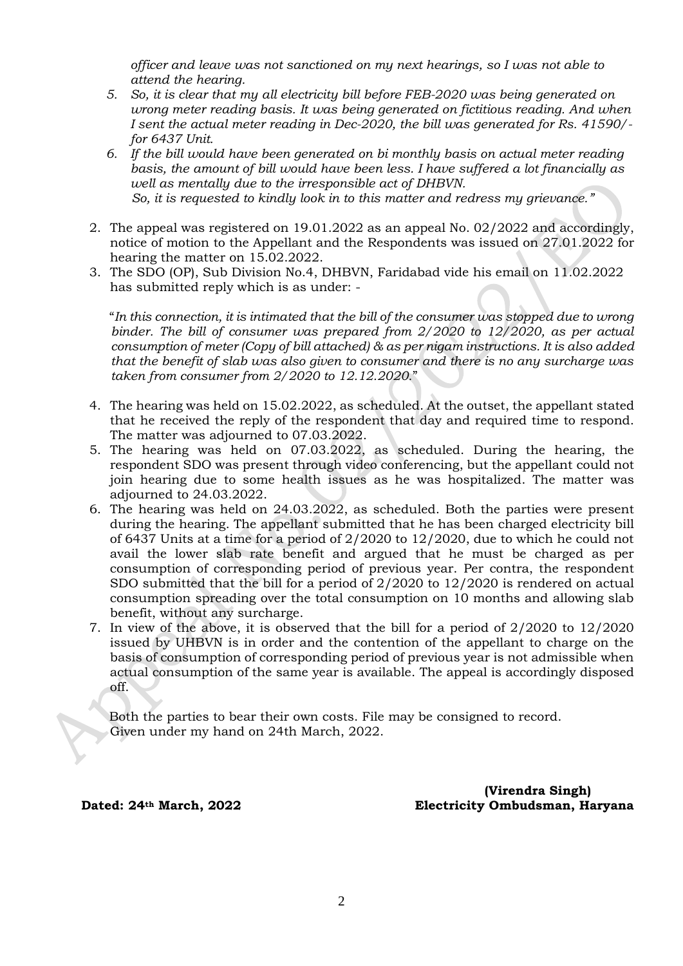*officer and leave was not sanctioned on my next hearings, so I was not able to attend the hearing.*

- *5. So, it is clear that my all electricity bill before FEB-2020 was being generated on wrong meter reading basis. It was being generated on fictitious reading. And when I sent the actual meter reading in Dec-2020, the bill was generated for Rs. 41590/ for 6437 Unit.*
- *6. If the bill would have been generated on bi monthly basis on actual meter reading basis, the amount of bill would have been less. I have suffered a lot financially as well as mentally due to the irresponsible act of DHBVN. So, it is requested to kindly look in to this matter and redress my grievance."*
- 2. The appeal was registered on 19.01.2022 as an appeal No. 02/2022 and accordingly, notice of motion to the Appellant and the Respondents was issued on 27.01.2022 for hearing the matter on 15.02.2022.
- 3. The SDO (OP), Sub Division No.4, DHBVN, Faridabad vide his email on 11.02.2022 has submitted reply which is as under: -

 "*In this connection, it is intimated that the bill of the consumer was stopped due to wrong binder. The bill of consumer was prepared from 2/2020 to 12/2020, as per actual consumption of meter (Copy of bill attached) & as per nigam instructions. It is also added that the benefit of slab was also given to consumer and there is no any surcharge was taken from consumer from 2/2020 to 12.12.2020.*"

- 4. The hearing was held on 15.02.2022, as scheduled. At the outset, the appellant stated that he received the reply of the respondent that day and required time to respond. The matter was adjourned to 07.03.2022.
- 5. The hearing was held on 07.03.2022, as scheduled. During the hearing, the respondent SDO was present through video conferencing, but the appellant could not join hearing due to some health issues as he was hospitalized. The matter was adjourned to 24.03.2022.
- 6. The hearing was held on 24.03.2022, as scheduled. Both the parties were present during the hearing. The appellant submitted that he has been charged electricity bill of 6437 Units at a time for a period of 2/2020 to 12/2020, due to which he could not avail the lower slab rate benefit and argued that he must be charged as per consumption of corresponding period of previous year. Per contra, the respondent SDO submitted that the bill for a period of 2/2020 to 12/2020 is rendered on actual consumption spreading over the total consumption on 10 months and allowing slab benefit, without any surcharge.
- 7. In view of the above, it is observed that the bill for a period of 2/2020 to 12/2020 issued by UHBVN is in order and the contention of the appellant to charge on the basis of consumption of corresponding period of previous year is not admissible when actual consumption of the same year is available. The appeal is accordingly disposed off.

 Both the parties to bear their own costs. File may be consigned to record. Given under my hand on 24th March, 2022.

 **(Virendra Singh) Dated: 24th March, 2022 Electricity Ombudsman, Haryana**